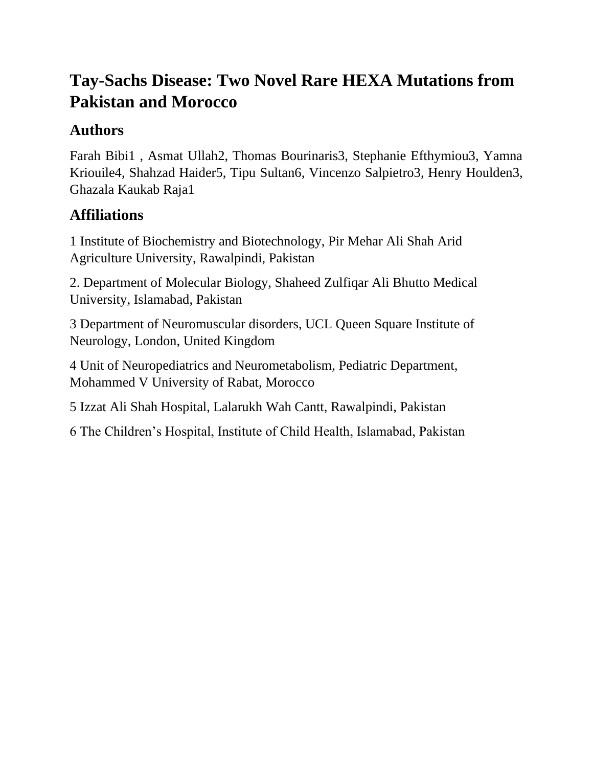# **Tay-Sachs Disease: Two Novel Rare HEXA Mutations from Pakistan and Morocco**

## **Authors**

Farah Bibi1 , Asmat Ullah2, Thomas Bourinaris3, Stephanie Efthymiou3, Yamna Kriouile4, Shahzad Haider5, Tipu Sultan6, Vincenzo Salpietro3, Henry Houlden3, Ghazala Kaukab Raja1

## **Affiliations**

1 Institute of Biochemistry and Biotechnology, Pir Mehar Ali Shah Arid Agriculture University, Rawalpindi, Pakistan

2. Department of Molecular Biology, Shaheed Zulfiqar Ali Bhutto Medical University, Islamabad, Pakistan

3 Department of Neuromuscular disorders, UCL Queen Square Institute of Neurology, London, United Kingdom

4 Unit of Neuropediatrics and Neurometabolism, Pediatric Department, Mohammed V University of Rabat, Morocco

5 Izzat Ali Shah Hospital, Lalarukh Wah Cantt, Rawalpindi, Pakistan

6 The Children's Hospital, Institute of Child Health, Islamabad, Pakistan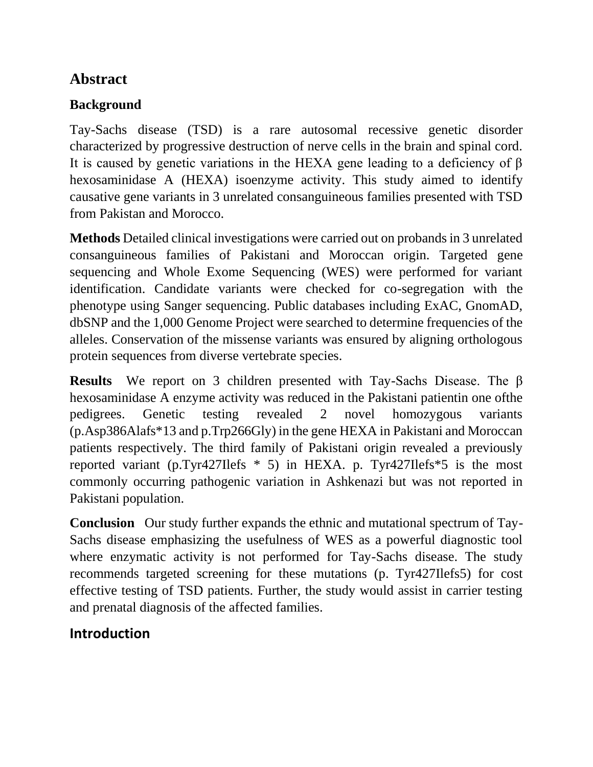## **Abstract**

## **Background**

Tay-Sachs disease (TSD) is a rare autosomal recessive genetic disorder characterized by progressive destruction of nerve cells in the brain and spinal cord. It is caused by genetic variations in the HEXA gene leading to a deficiency of  $\beta$ hexosaminidase A (HEXA) isoenzyme activity. This study aimed to identify causative gene variants in 3 unrelated consanguineous families presented with TSD from Pakistan and Morocco.

**Methods** Detailed clinical investigations were carried out on probands in 3 unrelated consanguineous families of Pakistani and Moroccan origin. Targeted gene sequencing and Whole Exome Sequencing (WES) were performed for variant identification. Candidate variants were checked for co-segregation with the phenotype using Sanger sequencing. Public databases including ExAC, GnomAD, dbSNP and the 1,000 Genome Project were searched to determine frequencies of the alleles. Conservation of the missense variants was ensured by aligning orthologous protein sequences from diverse vertebrate species.

**Results** We report on 3 children presented with Tay-Sachs Disease. The β hexosaminidase A enzyme activity was reduced in the Pakistani patientin one ofthe pedigrees. Genetic testing revealed 2 novel homozygous variants (p.Asp386Alafs\*13 and p.Trp266Gly) in the gene HEXA in Pakistani and Moroccan patients respectively. The third family of Pakistani origin revealed a previously reported variant (p.Tyr427Ilefs \* 5) in HEXA. p. Tyr427Ilefs\*5 is the most commonly occurring pathogenic variation in Ashkenazi but was not reported in Pakistani population.

**Conclusion** Our study further expands the ethnic and mutational spectrum of Tay-Sachs disease emphasizing the usefulness of WES as a powerful diagnostic tool where enzymatic activity is not performed for Tay-Sachs disease. The study recommends targeted screening for these mutations (p. Tyr427Ilefs5) for cost effective testing of TSD patients. Further, the study would assist in carrier testing and prenatal diagnosis of the affected families.

## **Introduction**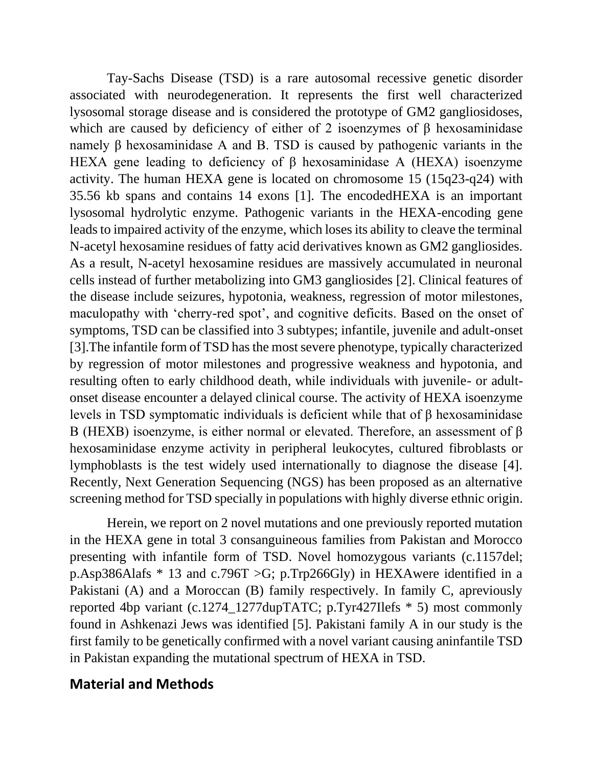Tay-Sachs Disease (TSD) is a rare autosomal recessive genetic disorder associated with neurodegeneration. It represents the first well characterized lysosomal storage disease and is considered the prototype of GM2 gangliosidoses, which are caused by deficiency of either of 2 isoenzymes of  $\beta$  hexosaminidase namely β hexosaminidase A and B. TSD is caused by pathogenic variants in the HEXA gene leading to deficiency of β hexosaminidase A (HEXA) isoenzyme activity. The human HEXA gene is located on chromosome 15 (15q23-q24) with 35.56 kb spans and contains 14 exons [1]. The encodedHEXA is an important lysosomal hydrolytic enzyme. Pathogenic variants in the HEXA-encoding gene leads to impaired activity of the enzyme, which loses its ability to cleave the terminal N-acetyl hexosamine residues of fatty acid derivatives known as GM2 gangliosides. As a result, N-acetyl hexosamine residues are massively accumulated in neuronal cells instead of further metabolizing into GM3 gangliosides [2]. Clinical features of the disease include seizures, hypotonia, weakness, regression of motor milestones, maculopathy with 'cherry-red spot', and cognitive deficits. Based on the onset of symptoms, TSD can be classified into 3 subtypes; infantile, juvenile and adult-onset [3].The infantile form of TSD has the most severe phenotype, typically characterized by regression of motor milestones and progressive weakness and hypotonia, and resulting often to early childhood death, while individuals with juvenile- or adultonset disease encounter a delayed clinical course. The activity of HEXA isoenzyme levels in TSD symptomatic individuals is deficient while that of β hexosaminidase B (HEXB) isoenzyme, is either normal or elevated. Therefore, an assessment of β hexosaminidase enzyme activity in peripheral leukocytes, cultured fibroblasts or lymphoblasts is the test widely used internationally to diagnose the disease [4]. Recently, Next Generation Sequencing (NGS) has been proposed as an alternative screening method for TSD specially in populations with highly diverse ethnic origin.

 Herein, we report on 2 novel mutations and one previously reported mutation in the HEXA gene in total 3 consanguineous families from Pakistan and Morocco presenting with infantile form of TSD. Novel homozygous variants (c.1157del; p.Asp386Alafs \* 13 and c.796T >G; p.Trp266Gly) in HEXAwere identified in a Pakistani (A) and a Moroccan (B) family respectively. In family C, apreviously reported 4bp variant (c.1274\_1277dupTATC; p.Tyr427Ilefs \* 5) most commonly found in Ashkenazi Jews was identified [5]. Pakistani family A in our study is the first family to be genetically confirmed with a novel variant causing aninfantile TSD in Pakistan expanding the mutational spectrum of HEXA in TSD.

### **Material and Methods**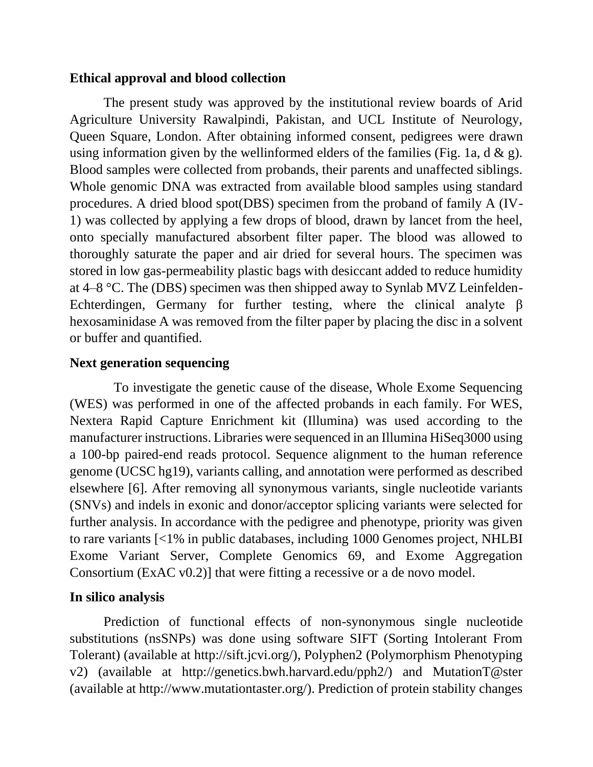#### **Ethical approval and blood collection**

 The present study was approved by the institutional review boards of Arid Agriculture University Rawalpindi, Pakistan, and UCL Institute of Neurology, Queen Square, London. After obtaining informed consent, pedigrees were drawn using information given by the wellinformed elders of the families (Fig. 1a, d  $\&$  g). Blood samples were collected from probands, their parents and unaffected siblings. Whole genomic DNA was extracted from available blood samples using standard procedures. A dried blood spot(DBS) specimen from the proband of family A (IV-1) was collected by applying a few drops of blood, drawn by lancet from the heel, onto specially manufactured absorbent filter paper. The blood was allowed to thoroughly saturate the paper and air dried for several hours. The specimen was stored in low gas-permeability plastic bags with desiccant added to reduce humidity at 4–8 °C. The (DBS) specimen was then shipped away to Synlab MVZ Leinfelden-Echterdingen, Germany for further testing, where the clinical analyte  $\beta$ hexosaminidase A was removed from the filter paper by placing the disc in a solvent or buffer and quantified.

#### **Next generation sequencing**

 To investigate the genetic cause of the disease, Whole Exome Sequencing (WES) was performed in one of the affected probands in each family. For WES, Nextera Rapid Capture Enrichment kit (Illumina) was used according to the manufacturer instructions. Libraries were sequenced in an Illumina HiSeq3000 using a 100-bp paired-end reads protocol. Sequence alignment to the human reference genome (UCSC hg19), variants calling, and annotation were performed as described elsewhere [6]. After removing all synonymous variants, single nucleotide variants (SNVs) and indels in exonic and donor/acceptor splicing variants were selected for further analysis. In accordance with the pedigree and phenotype, priority was given to rare variants [<1% in public databases, including 1000 Genomes project, NHLBI Exome Variant Server, Complete Genomics 69, and Exome Aggregation Consortium (ExAC v0.2)] that were fitting a recessive or a de novo model.

#### **In silico analysis**

 Prediction of functional effects of non-synonymous single nucleotide substitutions (nsSNPs) was done using software SIFT (Sorting Intolerant From Tolerant) (available at http://sift.jcvi.org/), Polyphen2 (Polymorphism Phenotyping v2) (available at http://genetics.bwh.harvard.edu/pph2/) and MutationT@ster (available at http://www.mutationtaster.org/). Prediction of protein stability changes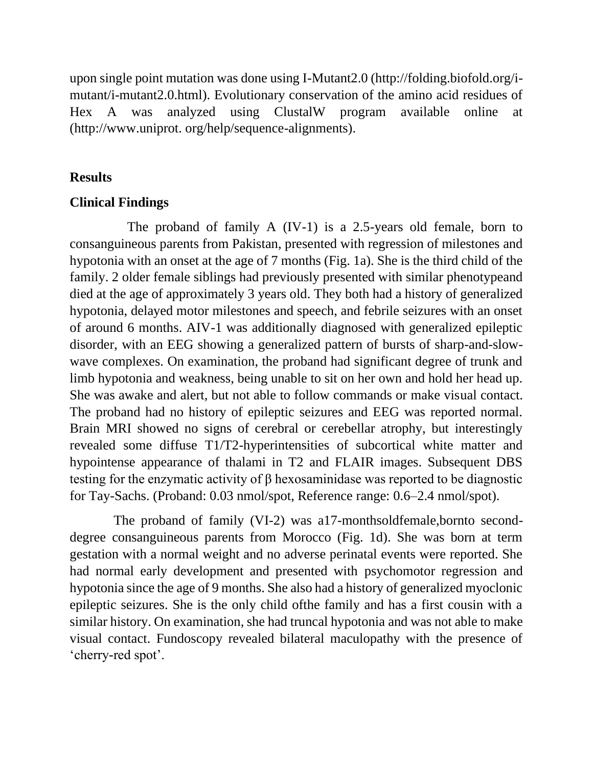upon single point mutation was done using I-Mutant2.0 (http://folding.biofold.org/imutant/i-mutant2.0.html). Evolutionary conservation of the amino acid residues of Hex A was analyzed using ClustalW program available online at (http://www.uniprot. org/help/sequence-alignments).

#### **Results**

#### **Clinical Findings**

 The proband of family A (IV-1) is a 2.5-years old female, born to consanguineous parents from Pakistan, presented with regression of milestones and hypotonia with an onset at the age of 7 months (Fig. 1a). She is the third child of the family. 2 older female siblings had previously presented with similar phenotypeand died at the age of approximately 3 years old. They both had a history of generalized hypotonia, delayed motor milestones and speech, and febrile seizures with an onset of around 6 months. AIV-1 was additionally diagnosed with generalized epileptic disorder, with an EEG showing a generalized pattern of bursts of sharp-and-slowwave complexes. On examination, the proband had significant degree of trunk and limb hypotonia and weakness, being unable to sit on her own and hold her head up. She was awake and alert, but not able to follow commands or make visual contact. The proband had no history of epileptic seizures and EEG was reported normal. Brain MRI showed no signs of cerebral or cerebellar atrophy, but interestingly revealed some diffuse T1/T2-hyperintensities of subcortical white matter and hypointense appearance of thalami in T2 and FLAIR images. Subsequent DBS testing for the enzymatic activity of β hexosaminidase was reported to be diagnostic for Tay-Sachs. (Proband: 0.03 nmol/spot, Reference range: 0.6–2.4 nmol/spot).

 The proband of family (VI-2) was a17-monthsoldfemale,bornto seconddegree consanguineous parents from Morocco (Fig. 1d). She was born at term gestation with a normal weight and no adverse perinatal events were reported. She had normal early development and presented with psychomotor regression and hypotonia since the age of 9 months. She also had a history of generalized myoclonic epileptic seizures. She is the only child ofthe family and has a first cousin with a similar history. On examination, she had truncal hypotonia and was not able to make visual contact. Fundoscopy revealed bilateral maculopathy with the presence of 'cherry-red spot'.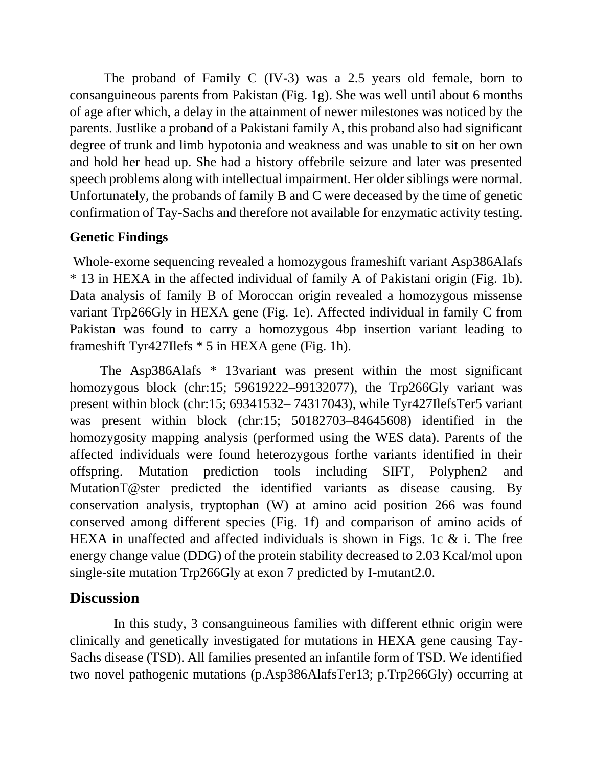The proband of Family C (IV-3) was a 2.5 years old female, born to consanguineous parents from Pakistan (Fig. 1g). She was well until about 6 months of age after which, a delay in the attainment of newer milestones was noticed by the parents. Justlike a proband of a Pakistani family A, this proband also had significant degree of trunk and limb hypotonia and weakness and was unable to sit on her own and hold her head up. She had a history offebrile seizure and later was presented speech problems along with intellectual impairment. Her older siblings were normal. Unfortunately, the probands of family B and C were deceased by the time of genetic confirmation of Tay-Sachs and therefore not available for enzymatic activity testing.

#### **Genetic Findings**

Whole-exome sequencing revealed a homozygous frameshift variant Asp386Alafs \* 13 in HEXA in the affected individual of family A of Pakistani origin (Fig. 1b). Data analysis of family B of Moroccan origin revealed a homozygous missense variant Trp266Gly in HEXA gene (Fig. 1e). Affected individual in family C from Pakistan was found to carry a homozygous 4bp insertion variant leading to frameshift Tyr427Ilefs \* 5 in HEXA gene (Fig. 1h).

 The Asp386Alafs \* 13variant was present within the most significant homozygous block (chr:15; 59619222–99132077), the Trp266Gly variant was present within block (chr:15; 69341532– 74317043), while Tyr427IlefsTer5 variant was present within block (chr:15; 50182703–84645608) identified in the homozygosity mapping analysis (performed using the WES data). Parents of the affected individuals were found heterozygous forthe variants identified in their offspring. Mutation prediction tools including SIFT, Polyphen2 and MutationT@ster predicted the identified variants as disease causing. By conservation analysis, tryptophan (W) at amino acid position 266 was found conserved among different species (Fig. 1f) and comparison of amino acids of HEXA in unaffected and affected individuals is shown in Figs. 1c  $\&$  i. The free energy change value (DDG) of the protein stability decreased to 2.03 Kcal/mol upon single-site mutation Trp266Gly at exon 7 predicted by I-mutant2.0.

### **Discussion**

 In this study, 3 consanguineous families with different ethnic origin were clinically and genetically investigated for mutations in HEXA gene causing Tay-Sachs disease (TSD). All families presented an infantile form of TSD. We identified two novel pathogenic mutations (p.Asp386AlafsTer13; p.Trp266Gly) occurring at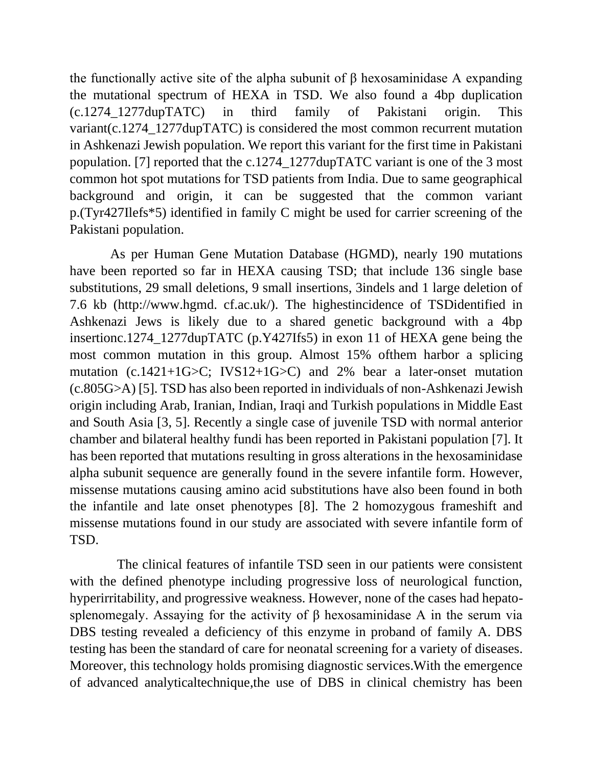the functionally active site of the alpha subunit of β hexosaminidase A expanding the mutational spectrum of HEXA in TSD. We also found a 4bp duplication (c.1274\_1277dupTATC) in third family of Pakistani origin. This variant (c.1274 1277dupTATC) is considered the most common recurrent mutation in Ashkenazi Jewish population. We report this variant for the first time in Pakistani population. [7] reported that the c.1274\_1277dupTATC variant is one of the 3 most common hot spot mutations for TSD patients from India. Due to same geographical background and origin, it can be suggested that the common variant p.(Tyr427Ilefs\*5) identified in family C might be used for carrier screening of the Pakistani population.

 As per Human Gene Mutation Database (HGMD), nearly 190 mutations have been reported so far in HEXA causing TSD; that include 136 single base substitutions, 29 small deletions, 9 small insertions, 3indels and 1 large deletion of 7.6 kb (http://www.hgmd. cf.ac.uk/). The highestincidence of TSDidentified in Ashkenazi Jews is likely due to a shared genetic background with a 4bp insertionc.1274\_1277dupTATC (p.Y427Ifs5) in exon 11 of HEXA gene being the most common mutation in this group. Almost 15% ofthem harbor a splicing mutation (c.1421+1G $\geq$ C; IVS12+1G $\geq$ C) and 2% bear a later-onset mutation (c.805G>A) [5]. TSD has also been reported in individuals of non-Ashkenazi Jewish origin including Arab, Iranian, Indian, Iraqi and Turkish populations in Middle East and South Asia [3, 5]. Recently a single case of juvenile TSD with normal anterior chamber and bilateral healthy fundi has been reported in Pakistani population [7]. It has been reported that mutations resulting in gross alterations in the hexosaminidase alpha subunit sequence are generally found in the severe infantile form. However, missense mutations causing amino acid substitutions have also been found in both the infantile and late onset phenotypes [8]. The 2 homozygous frameshift and missense mutations found in our study are associated with severe infantile form of TSD.

 The clinical features of infantile TSD seen in our patients were consistent with the defined phenotype including progressive loss of neurological function, hyperirritability, and progressive weakness. However, none of the cases had hepatosplenomegaly. Assaying for the activity of  $\beta$  hexosaminidase A in the serum via DBS testing revealed a deficiency of this enzyme in proband of family A. DBS testing has been the standard of care for neonatal screening for a variety of diseases. Moreover, this technology holds promising diagnostic services.With the emergence of advanced analyticaltechnique,the use of DBS in clinical chemistry has been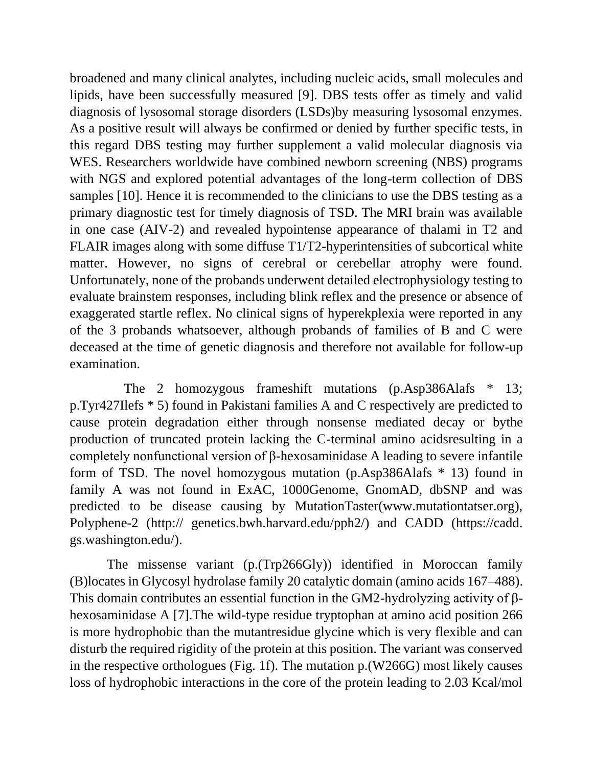broadened and many clinical analytes, including nucleic acids, small molecules and lipids, have been successfully measured [9]. DBS tests offer as timely and valid diagnosis of lysosomal storage disorders (LSDs)by measuring lysosomal enzymes. As a positive result will always be confirmed or denied by further specific tests, in this regard DBS testing may further supplement a valid molecular diagnosis via WES. Researchers worldwide have combined newborn screening (NBS) programs with NGS and explored potential advantages of the long-term collection of DBS samples [10]. Hence it is recommended to the clinicians to use the DBS testing as a primary diagnostic test for timely diagnosis of TSD. The MRI brain was available in one case (AIV-2) and revealed hypointense appearance of thalami in T2 and FLAIR images along with some diffuse T1/T2-hyperintensities of subcortical white matter. However, no signs of cerebral or cerebellar atrophy were found. Unfortunately, none of the probands underwent detailed electrophysiology testing to evaluate brainstem responses, including blink reflex and the presence or absence of exaggerated startle reflex. No clinical signs of hyperekplexia were reported in any of the 3 probands whatsoever, although probands of families of B and C were deceased at the time of genetic diagnosis and therefore not available for follow-up examination.

 The 2 homozygous frameshift mutations (p.Asp386Alafs \* 13; p.Tyr427Ilefs \* 5) found in Pakistani families A and C respectively are predicted to cause protein degradation either through nonsense mediated decay or bythe production of truncated protein lacking the C-terminal amino acidsresulting in a completely nonfunctional version of β-hexosaminidase A leading to severe infantile form of TSD. The novel homozygous mutation (p.Asp386Alafs \* 13) found in family A was not found in ExAC, 1000Genome, GnomAD, dbSNP and was predicted to be disease causing by MutationTaster(www.mutationtatser.org), Polyphene-2 (http:// genetics.bwh.harvard.edu/pph2/) and CADD (https://cadd. gs.washington.edu/).

 The missense variant (p.(Trp266Gly)) identified in Moroccan family (B)locates in Glycosyl hydrolase family 20 catalytic domain (amino acids 167–488). This domain contributes an essential function in the GM2-hydrolyzing activity of βhexosaminidase A [7].The wild-type residue tryptophan at amino acid position 266 is more hydrophobic than the mutantresidue glycine which is very flexible and can disturb the required rigidity of the protein at this position. The variant was conserved in the respective orthologues (Fig. 1f). The mutation p.(W266G) most likely causes loss of hydrophobic interactions in the core of the protein leading to 2.03 Kcal/mol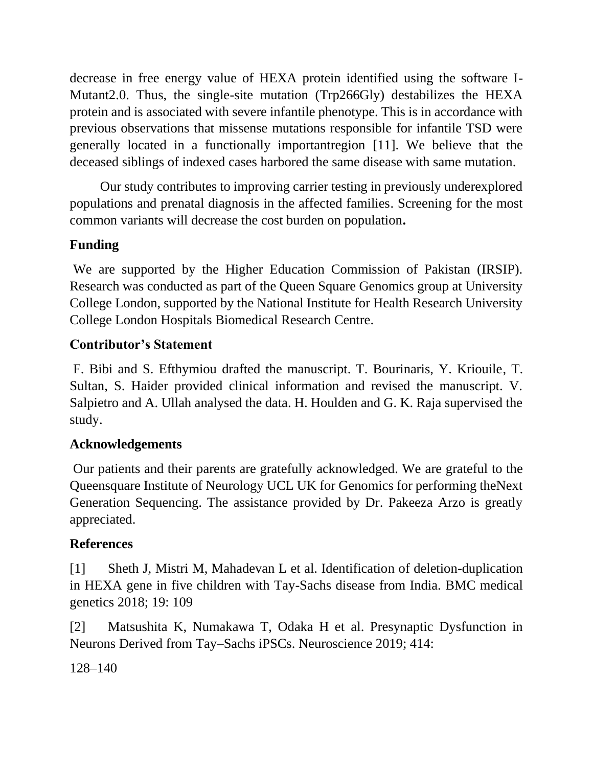decrease in free energy value of HEXA protein identified using the software I-Mutant2.0. Thus, the single-site mutation (Trp266Gly) destabilizes the HEXA protein and is associated with severe infantile phenotype. This is in accordance with previous observations that missense mutations responsible for infantile TSD were generally located in a functionally importantregion [11]. We believe that the deceased siblings of indexed cases harbored the same disease with same mutation.

 Our study contributes to improving carrier testing in previously underexplored populations and prenatal diagnosis in the affected families. Screening for the most common variants will decrease the cost burden on population**.** 

### **Funding**

We are supported by the Higher Education Commission of Pakistan (IRSIP). Research was conducted as part of the Queen Square Genomics group at University College London, supported by the National Institute for Health Research University College London Hospitals Biomedical Research Centre.

#### **Contributor's Statement**

F. Bibi and S. Efthymiou drafted the manuscript. T. Bourinaris, Y. Kriouile, T. Sultan, S. Haider provided clinical information and revised the manuscript. V. Salpietro and A. Ullah analysed the data. H. Houlden and G. K. Raja supervised the study.

#### **Acknowledgements**

Our patients and their parents are gratefully acknowledged. We are grateful to the Queensquare Institute of Neurology UCL UK for Genomics for performing theNext Generation Sequencing. The assistance provided by Dr. Pakeeza Arzo is greatly appreciated.

#### **References**

[1] Sheth J, Mistri M, Mahadevan L et al. Identification of deletion-duplication in HEXA gene in five children with Tay-Sachs disease from India. BMC medical genetics 2018; 19: 109

[2] Matsushita K, Numakawa T, Odaka H et al. Presynaptic Dysfunction in Neurons Derived from Tay–Sachs iPSCs. Neuroscience 2019; 414:

128–140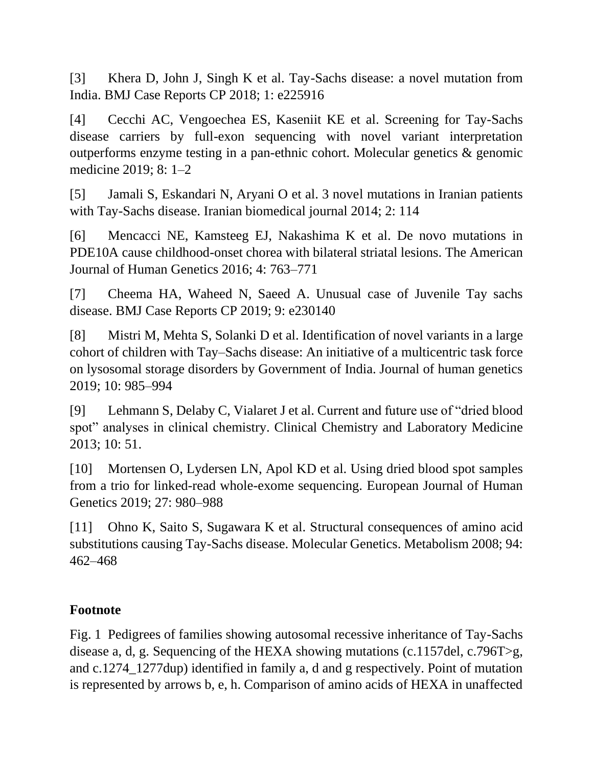[3] Khera D, John J, Singh K et al. Tay-Sachs disease: a novel mutation from India. BMJ Case Reports CP 2018; 1: e225916

[4] Cecchi AC, Vengoechea ES, Kaseniit KE et al. Screening for Tay-Sachs disease carriers by full-exon sequencing with novel variant interpretation outperforms enzyme testing in a pan-ethnic cohort. Molecular genetics & genomic medicine 2019; 8: 1–2

[5] Jamali S, Eskandari N, Aryani O et al. 3 novel mutations in Iranian patients with Tay-Sachs disease. Iranian biomedical journal 2014; 2: 114

[6] Mencacci NE, Kamsteeg EJ, Nakashima K et al. De novo mutations in PDE10A cause childhood-onset chorea with bilateral striatal lesions. The American Journal of Human Genetics 2016; 4: 763–771

[7] Cheema HA, Waheed N, Saeed A. Unusual case of Juvenile Tay sachs disease. BMJ Case Reports CP 2019; 9: e230140

[8] Mistri M, Mehta S, Solanki D et al. Identification of novel variants in a large cohort of children with Tay–Sachs disease: An initiative of a multicentric task force on lysosomal storage disorders by Government of India. Journal of human genetics 2019; 10: 985–994

[9] Lehmann S, Delaby C, Vialaret J et al. Current and future use of "dried blood spot" analyses in clinical chemistry. Clinical Chemistry and Laboratory Medicine 2013; 10: 51.

[10] Mortensen O, Lydersen LN, Apol KD et al. Using dried blood spot samples from a trio for linked-read whole-exome sequencing. European Journal of Human Genetics 2019; 27: 980–988

[11] Ohno K, Saito S, Sugawara K et al. Structural consequences of amino acid substitutions causing Tay-Sachs disease. Molecular Genetics. Metabolism 2008; 94: 462–468

#### **Footnote**

Fig. 1 Pedigrees of families showing autosomal recessive inheritance of Tay-Sachs disease a, d, g. Sequencing of the HEXA showing mutations (c.1157del, c.796T>g, and c.1274\_1277dup) identified in family a, d and g respectively. Point of mutation is represented by arrows b, e, h. Comparison of amino acids of HEXA in unaffected